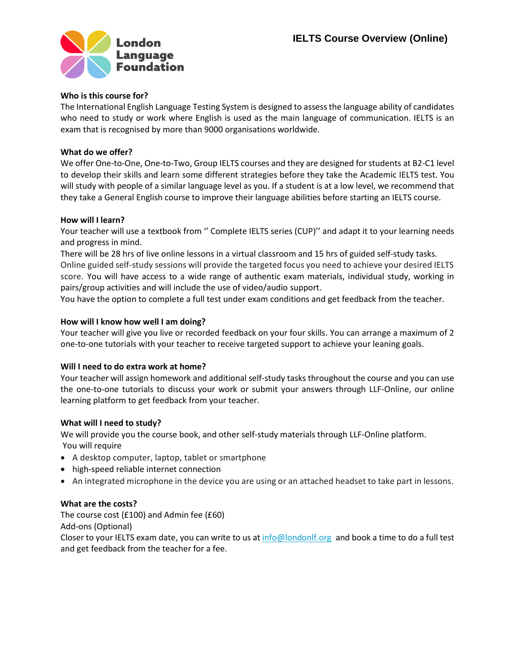

## **Who is this course for?**

The International English Language Testing System is designed to assess the language ability of candidates who need to study or work where English is used as the main language of communication. IELTS is an exam that is recognised by more than 9000 organisations worldwide.

# **What do we offer?**

We offer One-to-One, One-to-Two, Group IELTS courses and they are designed for students at B2-C1 level to develop their skills and learn some different strategies before they take the Academic IELTS test. You will study with people of a similar language level as you. If a student is at a low level, we recommend that they take a General English course to improve their language abilities before starting an IELTS course.

#### **How will I learn?**

Your teacher will use a textbook from " Complete IELTS series (CUP)" and adapt it to your learning needs and progress in mind.

There will be 28 hrs of live online lessons in a virtual classroom and 15 hrs of guided self-study tasks. Online guided self-study sessions will provide the targeted focus you need to achieve your desired IELTS score. You will have access to a wide range of authentic exam materials, individual study, working in pairs/group activities and will include the use of video/audio support.

You have the option to complete a full test under exam conditions and get feedback from the teacher.

## **How will I know how well I am doing?**

Your teacher will give you live or recorded feedback on your four skills. You can arrange a maximum of 2 one-to-one tutorials with your teacher to receive targeted support to achieve your leaning goals.

#### **Will I need to do extra work at home?**

Your teacher will assign homework and additional self-study tasks throughout the course and you can use the one-to-one tutorials to discuss your work or submit your answers through LLF-Online, our online learning platform to get feedback from your teacher.

#### **What will I need to study?**

We will provide you the course book, and other self-study materials through LLF-Online platform. You will require

- A desktop computer, laptop, tablet or smartphone
- high-speed reliable internet connection
- An integrated microphone in the device you are using or an attached headset to take part in lessons.

#### **What are the costs?**

The course cost (£100) and Admin fee (£60)

Add-ons (Optional)

Closer to your IELTS exam date, you can write to us a[t info@londonlf.org](mailto:sarah@londonlf.org) and book a time to do a full test and get feedback from the teacher for a fee.